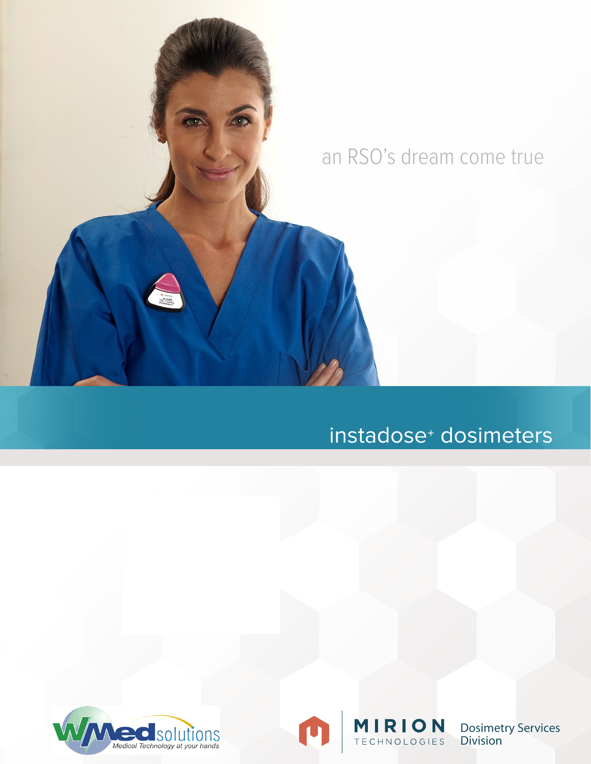

O

# instadose<sup>+</sup> dosimeters



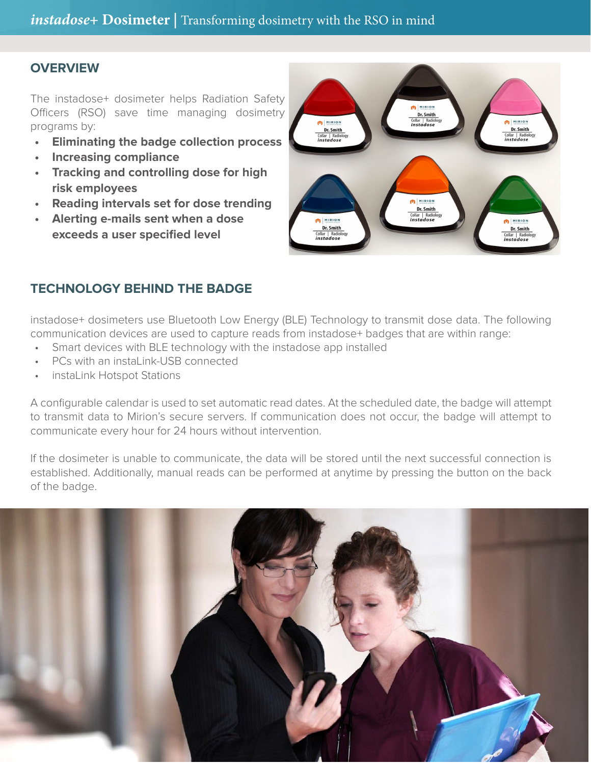# **OVERVIEW**

The instadose+ dosimeter helps Radiation Safety Officers (RSO) save time managing dosimetry programs by:

- **• Eliminating the badge collection process**
- **• Increasing compliance**
- **• Tracking and controlling dose for high risk employees**
- **• Reading intervals set for dose trending**
- **• Alerting e-mails sent when a dose exceeds a user specified level**



## **TECHNOLOGY BEHIND THE BADGE**

instadose+ dosimeters use Bluetooth Low Energy (BLE) Technology to transmit dose data. The following communication devices are used to capture reads from instadose+ badges that are within range:

- Smart devices with BLE technology with the instadose app installed
- • PCs with an instaLink-USB connected
- instaLink Hotspot Stations

A configurable calendar is used to set automatic read dates. At the scheduled date, the badge will attempt to transmit data to Mirion's secure servers. If communication does not occur, the badge will attempt to communicate every hour for 24 hours without intervention.

If the dosimeter is unable to communicate, the data will be stored until the next successful connection is established. Additionally, manual reads can be performed at anytime by pressing the button on the back of the badge.

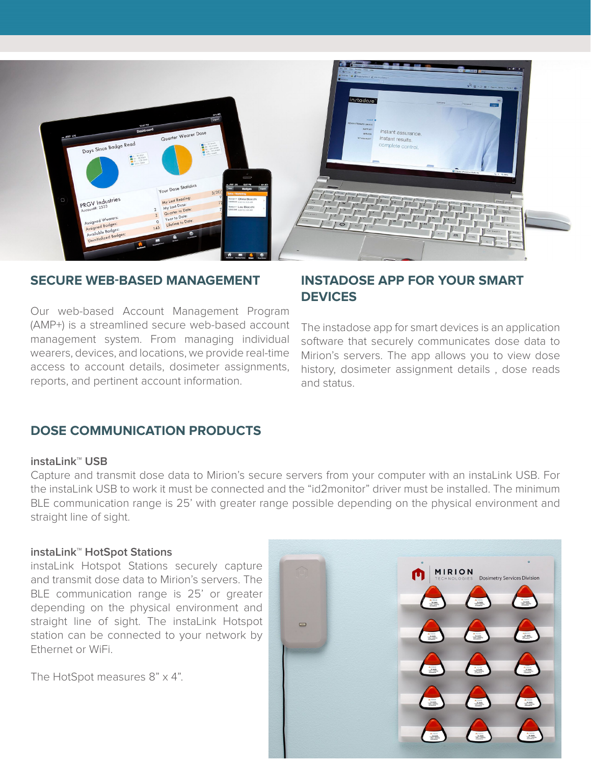

### **SECURE WEB-BASED MANAGEMENT**

Our web-based Account Management Program (AMP+) is a streamlined secure web-based account management system. From managing individual wearers, devices, and locations, we provide real-time access to account details, dosimeter assignments, reports, and pertinent account information.

## **INSTADOSE APP FOR YOUR SMART DEVICES**

The instadose app for smart devices is an application software that securely communicates dose data to Mirion's servers. The app allows you to view dose history, dosimeter assignment details , dose reads and status.

### **DOSE COMMUNICATION PRODUCTS**

#### **instaLink™ USB**

Capture and transmit dose data to Mirion's secure servers from your computer with an instaLink USB. For the instaLink USB to work it must be connected and the "id2monitor" driver must be installed. The minimum BLE communication range is 25' with greater range possible depending on the physical environment and straight line of sight.

#### **instaLink™ HotSpot Stations**

instaLink Hotspot Stations securely capture and transmit dose data to Mirion's servers. The BLE communication range is 25' or greater depending on the physical environment and straight line of sight. The instaLink Hotspot station can be connected to your network by Ethernet or WiFi.

The HotSpot measures 8" x 4".